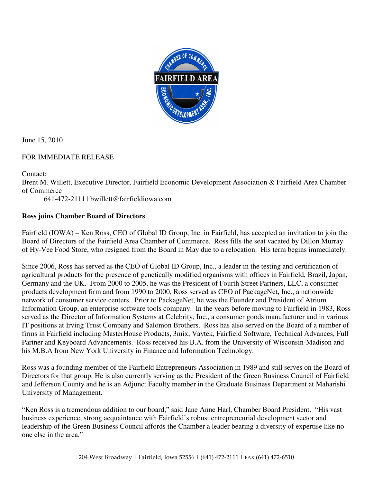

June 15, 2010

## FOR IMMEDIATE RELEASE

Contact:

Brent M. Willett, Executive Director, Fairfield Economic Development Association & Fairfield Area Chamber of Commerce

641-472-2111 | bwillett@fairfieldiowa.com

## **Ross joins Chamber Board of Directors**

Fairfield (IOWA) – Ken Ross, CEO of Global ID Group, Inc. in Fairfield, has accepted an invitation to join the Board of Directors of the Fairfield Area Chamber of Commerce. Ross fills the seat vacated by Dillon Murray of Hy-Vee Food Store, who resigned from the Board in May due to a relocation. His term begins immediately.

Since 2006, Ross has served as the CEO of Global ID Group, Inc., a leader in the testing and certification of agricultural products for the presence of genetically modified organisms with offices in Fairfield, Brazil, Japan, Germany and the UK. From 2000 to 2005, he was the President of Fourth Street Partners, LLC, a consumer products development firm and from 1990 to 2000, Ross served as CEO of PackageNet, Inc., a nationwide network of consumer service centers. Prior to PackageNet, he was the Founder and President of Atrium Information Group, an enterprise software tools company. In the years before moving to Fairfield in 1983, Ross served as the Director of Information Systems at Celebrity, Inc., a consumer goods manufacturer and in various IT positions at Irving Trust Company and Salomon Brothers. Ross has also served on the Board of a number of firms in Fairfield including MasterHouse Products, 3mix, Vaytek, Fairfield Software, Technical Advances, Full Partner and Keyboard Advancements. Ross received his B.A. from the University of Wisconsin-Madison and his M.B.A from New York University in Finance and Information Technology.

Ross was a founding member of the Fairfield Entrepreneurs Association in 1989 and still serves on the Board of Directors for that group. He is also currently serving as the President of the Green Business Council of Fairfield and Jefferson County and he is an Adjunct Faculty member in the Graduate Business Department at Maharishi University of Management.

"Ken Ross is a tremendous addition to our board," said Jane Anne Harl, Chamber Board President. "His vast business experience, strong acquaintance with Fairfield's robust entrepreneurial development sector and leadership of the Green Business Council affords the Chamber a leader bearing a diversity of expertise like no one else in the area."